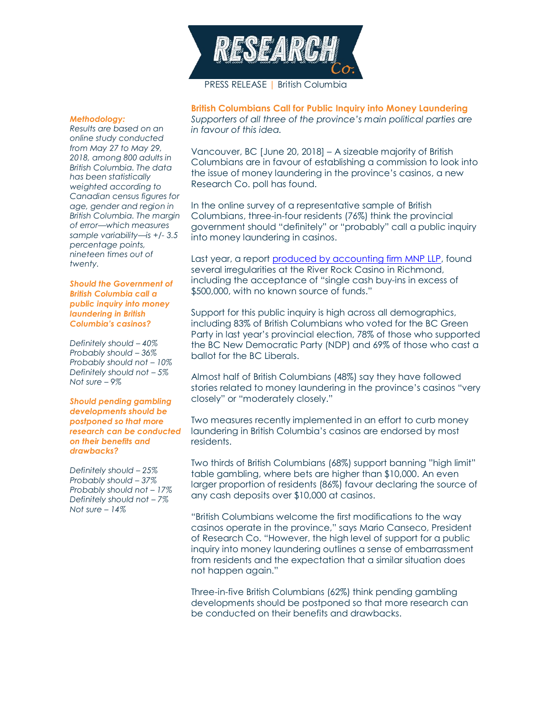

### *Methodology:*

*Results are based on an online study conducted from May 27 to May 29, 2018, among 800 adults in British Columbia. The data has been statistically weighted according to Canadian census figures for age, gender and region in British Columbia. The margin of error—which measures sample variability—is +/- 3.5 percentage points, nineteen times out of twenty.*

### *Should the Government of British Columbia call a public inquiry into money laundering in British Columbia's casinos?*

*Definitely should – 40% Probably should – 36% Probably should not – 10% Definitely should not – 5% Not sure – 9%*

## *Should pending gambling developments should be postponed so that more research can be conducted on their benefits and drawbacks?*

*Definitely should – 25% Probably should – 37% Probably should not – 17% Definitely should not – 7% Not sure – 14%*

**British Columbians Call for Public Inquiry into Money Laundering**  *Supporters of all three of the province's main political parties are in favour of this idea.*

Vancouver, BC [June 20, 2018] – A sizeable majority of British Columbians are in favour of establishing a commission to look into the issue of money laundering in the province's casinos, a new Research Co. poll has found.

In the online survey of a representative sample of British Columbians, three-in-four residents (76%) think the provincial government should "definitely" or "probably" call a public inquiry into money laundering in casinos.

Last year, a report [produced by accounting firm MNP LLP,](https://www2.gov.bc.ca/assets/gov/sports-recreation-arts-and-culture/gambling/gambling-in-bc/reports/mnp_report-redacted.pdf) found several irregularities at the River Rock Casino in Richmond, including the acceptance of "single cash buy-ins in excess of \$500,000, with no known source of funds."

Support for this public inquiry is high across all demographics, including 83% of British Columbians who voted for the BC Green Party in last year's provincial election, 78% of those who supported the BC New Democratic Party (NDP) and 69% of those who cast a ballot for the BC Liberals.

Almost half of British Columbians (48%) say they have followed stories related to money laundering in the province's casinos "very closely" or "moderately closely."

Two measures recently implemented in an effort to curb money laundering in British Columbia's casinos are endorsed by most residents.

Two thirds of British Columbians (68%) support banning "high limit" table gambling, where bets are higher than \$10,000. An even larger proportion of residents (86%) favour declaring the source of any cash deposits over \$10,000 at casinos.

"British Columbians welcome the first modifications to the way casinos operate in the province," says Mario Canseco, President of Research Co. "However, the high level of support for a public inquiry into money laundering outlines a sense of embarrassment from residents and the expectation that a similar situation does not happen again."

Three-in-five British Columbians (62%) think pending gambling developments should be postponed so that more research can be conducted on their benefits and drawbacks.